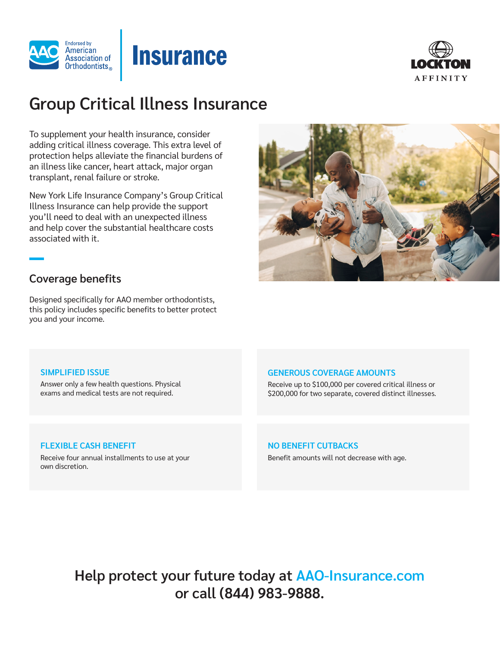



# **Group Critical Illness Insurance**

**Insurance** 

To supplement your health insurance, consider adding critical illness coverage. This extra level of protection helps alleviate the financial burdens of an illness like cancer, heart attack, major organ transplant, renal failure or stroke.

New York Life Insurance Company's Group Critical Illness Insurance can help provide the support you'll need to deal with an unexpected illness and help cover the substantial healthcare costs associated with it.



## **Coverage benefits**

Designed specifically for AAO member orthodontists, this policy includes specific benefits to better protect you and your income.

## **SIMPLIFIED ISSUE**

Answer only a few health questions. Physical exams and medical tests are not required.

## **GENEROUS COVERAGE AMOUNTS**

Receive up to \$100,000 per covered critical illness or \$200,000 for two separate, covered distinct illnesses.

## **FLEXIBLE CASH BENEFIT**

Receive four annual installments to use at your own discretion.

### **NO BENEFIT CUTBACKS**

Benefit amounts will not decrease with age.

**Help protect your future today at AAO-Insurance.com or call (844) 983-9888.**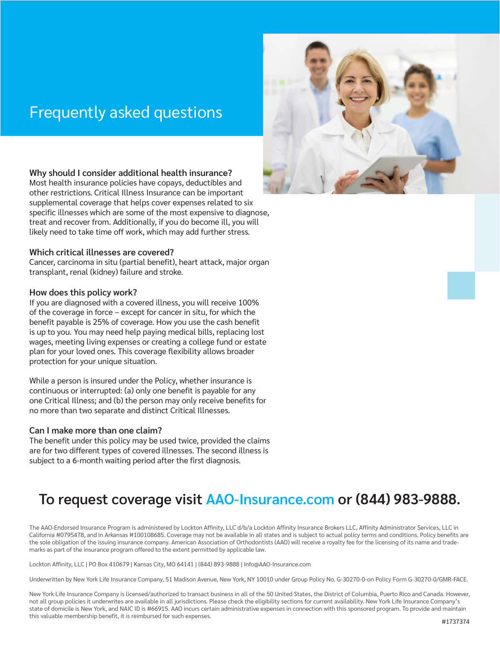## Frequently asked questions



## **Why should I consider additional health insurance?**

Most health insurance policies have copays, deductibles and other restrictions. Critical Illness Insurance can be important supplemental coverage that helps cover expenses related to six specific illnesses which are some of the most expensive to diagnose, treat and recover from. Additionally, if you do become ill, you will likely need to take time off work, which may add further stress.

## **Which critical illnesses are covered?**

Cancer, carcinoma in situ (partial benefit), heart attack, major organ transplant, renal (kidney) failure and stroke.

## **How does this policy work?**

If you are diagnosed with a covered illness, you will receive 100% of the coverage in force – except for cancer in situ, for which the benefit payable is 25% of coverage. How you use the cash benefit is up to you. You may need help paying medical bills, replacing lost wages, meeting living expenses or creating a college fund or estate plan for your loved ones. This coverage flexibility allows broader protection for your unique situation.

While a person is insured under the Policy, whether insurance is continuous or interrupted: (a) only one benefit is payable for any one Critical Illness; and (b) the person may only receive benefits for no more than two separate and distinct Critical Illnesses.

## **Can I make more than one claim?**

The benefit under this policy may be used twice, provided the claims are for two different types of covered illnesses. The second illness is subject to a 6-month waiting period after the first diagnosis.

## **To request coverage visit AAO-Insurance.com or (844) 983-9888.**

The AAO-Endorsed Insurance Program is administered by Lockton Affinity, LLC d/b/a Lockton Affinity Insurance Brokers LLC, Affinity Administrator Services, LLC in California #0795478, and in Arkansas #100108685. Coverage may not be available in all states and is subject to actual policy terms and conditions. Policy benefits are the sole obligation of the issuing insurance company. American Association of Orthodontists (AAO) will receive a royalty fee for the licensing of its name and trademarks as part of the insurance program offered to the extent permitted by applicable law.

Lockton Affinity, LLC | PO Box 410679 | Kansas City, MO 64141 | (844) 893-9888 | Info@AAO-Insurance.com

Underwritten by New York Life Insurance Company, 51 Madison Avenue, New York, NY 10010 under Group Policy No. G-30270-0-on Policy Form G-30270-0/GMR-FACE.

New York Life Insurance Company is licensed/authorized to transact business in all of the 50 United States, the District of Columbia, Puerto Rico and Canada. However, not all group policies it underwrites are available in all jurisdictions. Please check the eligibility sections for current availability. New York Life Insurance Company's state of domicile is New York, and NAIC ID is #66915. AAO incurs certain administrative expenses in connection with this sponsored program. To provide and maintain this valuable membership benefit, it is reimbursed for such expenses.